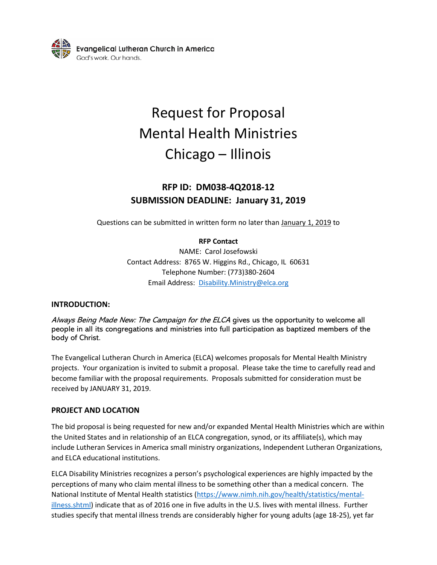

# Request for Proposal Mental Health Ministries Chicago – Illinois

## **RFP ID: DM038-4Q2018-12 SUBMISSION DEADLINE: January 31, 2019**

Questions can be submitted in written form no later than January 1, 2019 to

#### **RFP Contact**

NAME: Carol Josefowski Contact Address: 8765 W. Higgins Rd., Chicago, IL 60631 Telephone Number: (773)380-2604 Email Address: [Disability.Ministry@elca.org](mailto:Disability.Ministry@elca.org)

#### **INTRODUCTION:**

Always Being Made New: The Campaign for the ELCA gives us the opportunity to welcome all people in all its congregations and ministries into full participation as baptized members of the body of Christ.

The Evangelical Lutheran Church in America (ELCA) welcomes proposals for Mental Health Ministry projects. Your organization is invited to submit a proposal. Please take the time to carefully read and become familiar with the proposal requirements. Proposals submitted for consideration must be received by JANUARY 31, 2019.

#### **PROJECT AND LOCATION**

The bid proposal is being requested for new and/or expanded Mental Health Ministries which are within the United States and in relationship of an ELCA congregation, synod, or its affiliate(s), which may include Lutheran Services in America small ministry organizations, Independent Lutheran Organizations, and ELCA educational institutions.

ELCA Disability Ministries recognizes a person's psychological experiences are highly impacted by the perceptions of many who claim mental illness to be something other than a medical concern. The National Institute of Mental Health statistics [\(https://www.nimh.nih.gov/health/statistics/mental](https://www.nimh.nih.gov/health/statistics/mental-illness.shtml)[illness.shtml\)](https://www.nimh.nih.gov/health/statistics/mental-illness.shtml) indicate that as of 2016 one in five adults in the U.S. lives with mental illness. Further studies specify that mental illness trends are considerably higher for young adults (age 18-25), yet far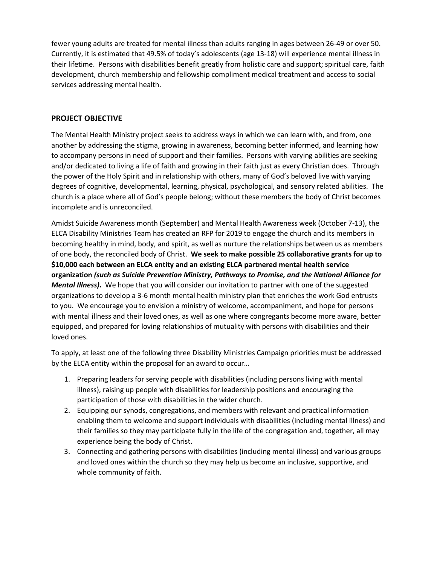fewer young adults are treated for mental illness than adults ranging in ages between 26-49 or over 50. Currently, it is estimated that 49.5% of today's adolescents (age 13-18) will experience mental illness in their lifetime. Persons with disabilities benefit greatly from holistic care and support; spiritual care, faith development, church membership and fellowship compliment medical treatment and access to social services addressing mental health.

#### **PROJECT OBJECTIVE**

The Mental Health Ministry project seeks to address ways in which we can learn with, and from, one another by addressing the stigma, growing in awareness, becoming better informed, and learning how to accompany persons in need of support and their families. Persons with varying abilities are seeking and/or dedicated to living a life of faith and growing in their faith just as every Christian does. Through the power of the Holy Spirit and in relationship with others, many of God's beloved live with varying degrees of cognitive, developmental, learning, physical, psychological, and sensory related abilities. The church is a place where all of God's people belong; without these members the body of Christ becomes incomplete and is unreconciled.

Amidst Suicide Awareness month (September) and Mental Health Awareness week (October 7-13), the ELCA Disability Ministries Team has created an RFP for 2019 to engage the church and its members in becoming healthy in mind, body, and spirit, as well as nurture the relationships between us as members of one body, the reconciled body of Christ. **We seek to make possible 25 collaborative grants for up to \$10,000 each between an ELCA entity and an existing ELCA partnered mental health service organization** *(such as Suicide Prevention Ministry, Pathways to Promise, and the National Alliance for Mental Illness)***.** We hope that you will consider our invitation to partner with one of the suggested organizations to develop a 3-6 month mental health ministry plan that enriches the work God entrusts to you. We encourage you to envision a ministry of welcome, accompaniment, and hope for persons with mental illness and their loved ones, as well as one where congregants become more aware, better equipped, and prepared for loving relationships of mutuality with persons with disabilities and their loved ones.

To apply, at least one of the following three Disability Ministries Campaign priorities must be addressed by the ELCA entity within the proposal for an award to occur…

- 1. Preparing leaders for serving people with disabilities (including persons living with mental illness), raising up people with disabilities for leadership positions and encouraging the participation of those with disabilities in the wider church.
- 2. Equipping our synods, congregations, and members with relevant and practical information enabling them to welcome and support individuals with disabilities (including mental illness) and their families so they may participate fully in the life of the congregation and, together, all may experience being the body of Christ.
- 3. Connecting and gathering persons with disabilities (including mental illness) and various groups and loved ones within the church so they may help us become an inclusive, supportive, and whole community of faith.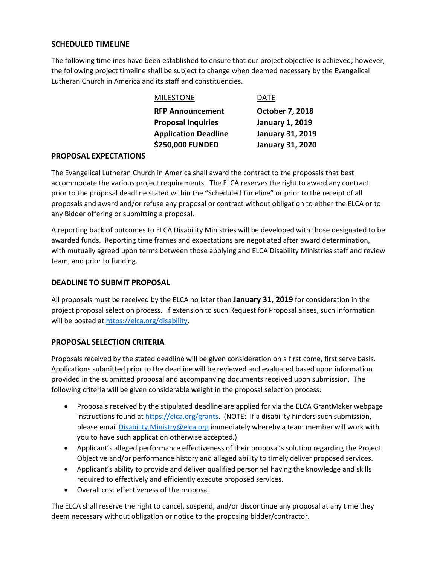#### **SCHEDULED TIMELINE**

The following timelines have been established to ensure that our project objective is achieved; however, the following project timeline shall be subject to change when deemed necessary by the Evangelical Lutheran Church in America and its staff and constituencies.

| <b>MILESTONE</b>            | DATE                    |
|-----------------------------|-------------------------|
| <b>RFP Announcement</b>     | October 7, 2018         |
| <b>Proposal Inquiries</b>   | <b>January 1, 2019</b>  |
| <b>Application Deadline</b> | <b>January 31, 2019</b> |
| \$250,000 FUNDED            | <b>January 31, 2020</b> |

#### **PROPOSAL EXPECTATIONS**

The Evangelical Lutheran Church in America shall award the contract to the proposals that best accommodate the various project requirements. The ELCA reserves the right to award any contract prior to the proposal deadline stated within the "Scheduled Timeline" or prior to the receipt of all proposals and award and/or refuse any proposal or contract without obligation to either the ELCA or to any Bidder offering or submitting a proposal.

A reporting back of outcomes to ELCA Disability Ministries will be developed with those designated to be awarded funds. Reporting time frames and expectations are negotiated after award determination, with mutually agreed upon terms between those applying and ELCA Disability Ministries staff and review team, and prior to funding.

#### **DEADLINE TO SUBMIT PROPOSAL**

All proposals must be received by the ELCA no later than **January 31, 2019** for consideration in the project proposal selection process. If extension to such Request for Proposal arises, such information will be posted at [https://elca.org/disability.](https://elca.org/disability)

#### **PROPOSAL SELECTION CRITERIA**

Proposals received by the stated deadline will be given consideration on a first come, first serve basis. Applications submitted prior to the deadline will be reviewed and evaluated based upon information provided in the submitted proposal and accompanying documents received upon submission. The following criteria will be given considerable weight in the proposal selection process:

- Proposals received by the stipulated deadline are applied for via the ELCA GrantMaker webpage instructions found a[t https://elca.org/grants.](https://elca.org/grants) (NOTE: If a disability hinders such submission, please email **Disability.Ministry@elca.org** immediately whereby a team member will work with you to have such application otherwise accepted.)
- Applicant's alleged performance effectiveness of their proposal's solution regarding the Project Objective and/or performance history and alleged ability to timely deliver proposed services.
- Applicant's ability to provide and deliver qualified personnel having the knowledge and skills required to effectively and efficiently execute proposed services.
- Overall cost effectiveness of the proposal.

The ELCA shall reserve the right to cancel, suspend, and/or discontinue any proposal at any time they deem necessary without obligation or notice to the proposing bidder/contractor.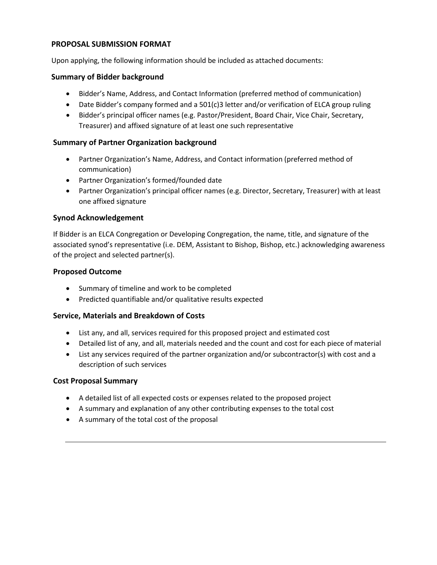#### **PROPOSAL SUBMISSION FORMAT**

Upon applying, the following information should be included as attached documents:

#### **Summary of Bidder background**

- Bidder's Name, Address, and Contact Information (preferred method of communication)
- Date Bidder's company formed and a 501(c)3 letter and/or verification of ELCA group ruling
- Bidder's principal officer names (e.g. Pastor/President, Board Chair, Vice Chair, Secretary, Treasurer) and affixed signature of at least one such representative

#### **Summary of Partner Organization background**

- Partner Organization's Name, Address, and Contact information (preferred method of communication)
- Partner Organization's formed/founded date
- Partner Organization's principal officer names (e.g. Director, Secretary, Treasurer) with at least one affixed signature

#### **Synod Acknowledgement**

If Bidder is an ELCA Congregation or Developing Congregation, the name, title, and signature of the associated synod's representative (i.e. DEM, Assistant to Bishop, Bishop, etc.) acknowledging awareness of the project and selected partner(s).

#### **Proposed Outcome**

- Summary of timeline and work to be completed
- Predicted quantifiable and/or qualitative results expected

#### **Service, Materials and Breakdown of Costs**

- List any, and all, services required for this proposed project and estimated cost
- Detailed list of any, and all, materials needed and the count and cost for each piece of material
- List any services required of the partner organization and/or subcontractor(s) with cost and a description of such services

#### **Cost Proposal Summary**

- A detailed list of all expected costs or expenses related to the proposed project
- A summary and explanation of any other contributing expenses to the total cost
- A summary of the total cost of the proposal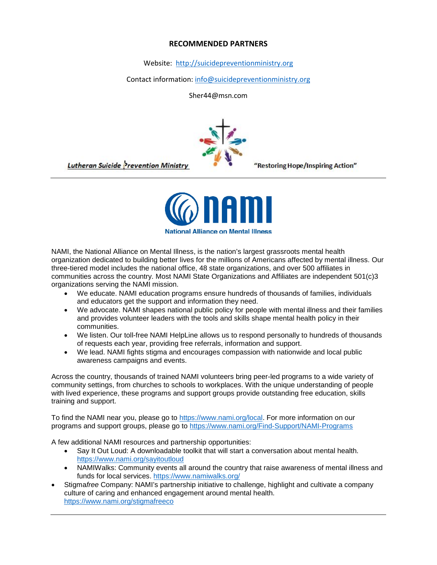#### **RECOMMENDED PARTNERS**

Website: [http://suicidepreventionministry.org](http://suicidepreventionministry.org/)

Contact information: [info@suicidepreventionministry.org](mailto:info@suicidepreventionministry.org)

Sher44@msn.com



**Lutheran Suicide Prevention Ministry** 

"Restoring Hope/Inspiring Action"



NAMI, the National Alliance on Mental Illness, is the nation's largest grassroots mental health organization dedicated to building better lives for the millions of Americans affected by mental illness. Our three-tiered model includes the national office, 48 state organizations, and over 500 affiliates in communities across the country. Most NAMI State Organizations and Affiliates are independent 501(c)3 organizations serving the NAMI mission.

- We educate. NAMI education programs ensure hundreds of thousands of families, individuals and educators get the support and information they need.
- We advocate. NAMI shapes national public policy for people with mental illness and their families and provides volunteer leaders with the tools and skills shape mental health policy in their communities.
- We listen. Our toll-free NAMI HelpLine allows us to respond personally to hundreds of thousands of requests each year, providing free referrals, information and support.
- We lead. NAMI fights stigma and encourages compassion with nationwide and local public awareness campaigns and events.

Across the country, thousands of trained NAMI volunteers bring peer-led programs to a wide variety of community settings, from churches to schools to workplaces. With the unique understanding of people with lived experience, these programs and support groups provide outstanding free education, skills training and support.

To find the NAMI near you, please go to [https://www.nami.org/local.](https://www.nami.org/local) For more information on our programs and support groups, please go to<https://www.nami.org/Find-Support/NAMI-Programs>

A few additional NAMI resources and partnership opportunities:

- Say It Out Loud: A downloadable toolkit that will start a conversation about mental health. <https://www.nami.org/sayitoutloud>
- NAMIWalks: Community events all around the country that raise awareness of mental illness and funds for local services.<https://www.namiwalks.org/>
- Stigma*free* Company: NAMI's partnership initiative to challenge, highlight and cultivate a company culture of caring and enhanced engagement around mental health. <https://www.nami.org/stigmafreeco>